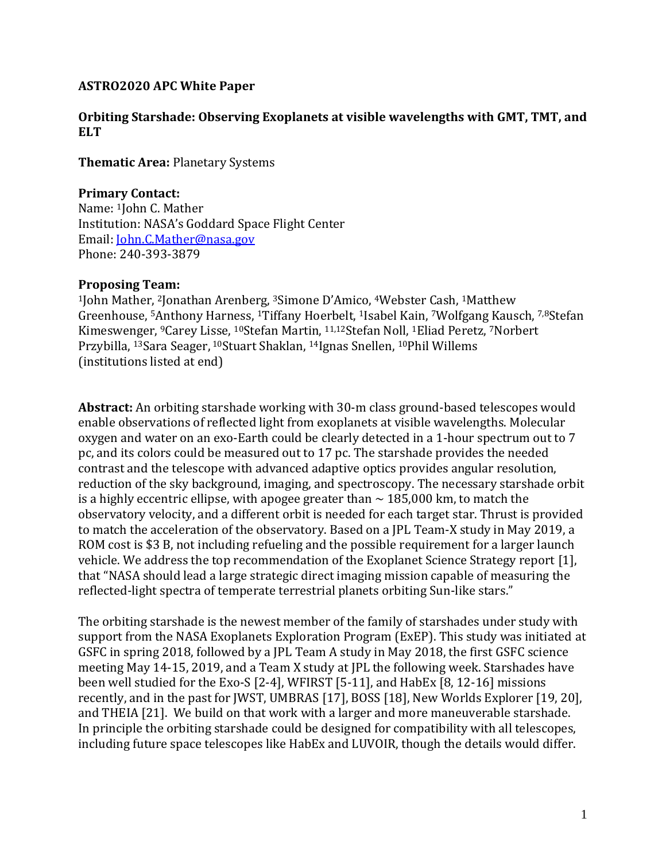## **ASTRO2020 APC White Paper**

### **Orbiting Starshade: Observing Exoplanets at visible wavelengths with GMT, TMT, and ELT**

**Thematic Area:** Planetary Systems

### **Primary Contact:**

Name: 1John C. Mather Institution: NASA's Goddard Space Flight Center Email: [John.C.Mather@nasa.gov](mailto:John.C.Mather@nasa.gov) Phone: 240-393-3879

#### **Proposing Team:**

<sup>1</sup>John Mather, 2Jonathan Arenberg, 3Simone D'Amico, 4Webster Cash, 1Matthew Greenhouse, 5Anthony Harness, 1Tiffany Hoerbelt, 1Isabel Kain, 7Wolfgang Kausch, 7,8Stefan Kimeswenger, 9Carey Lisse, 10Stefan Martin, 11,12Stefan Noll, 1Eliad Peretz, 7Norbert Przybilla, 13Sara Seager, <sup>10</sup>Stuart Shaklan, 14Ignas Snellen, 10Phil Willems (institutions listed at end)

**Abstract:** An orbiting starshade working with 30-m class ground-based telescopes would enable observations of reflected light from exoplanets at visible wavelengths. Molecular oxygen and water on an exo-Earth could be clearly detected in a 1-hour spectrum out to 7 pc, and its colors could be measured out to 17 pc. The starshade provides the needed contrast and the telescope with advanced adaptive optics provides angular resolution, reduction of the sky background, imaging, and spectroscopy. The necessary starshade orbit is a highly eccentric ellipse, with apogee greater than  $\sim$  185,000 km, to match the observatory velocity, and a different orbit is needed for each target star. Thrust is provided to match the acceleration of the observatory. Based on a JPL Team-X study in May 2019, a ROM cost is \$3 B, not including refueling and the possible requirement for a larger launch vehicle. We address the top recommendation of the Exoplanet Science Strategy report [1], that "NASA should lead a large strategic direct imaging mission capable of measuring the reflected-light spectra of temperate terrestrial planets orbiting Sun-like stars."

The orbiting starshade is the newest member of the family of starshades under study with support from the NASA Exoplanets Exploration Program (ExEP). This study was initiated at GSFC in spring 2018, followed by a JPL Team A study in May 2018, the first GSFC science meeting May 14-15, 2019, and a Team X study at JPL the following week. Starshades have been well studied for the Exo-S [2-4], WFIRST [5-11], and HabEx [8, 12-16] missions recently, and in the past for JWST, UMBRAS [17], BOSS [18], New Worlds Explorer [19, 20], and THEIA [21]. We build on that work with a larger and more maneuverable starshade. In principle the orbiting starshade could be designed for compatibility with all telescopes, including future space telescopes like HabEx and LUVOIR, though the details would differ.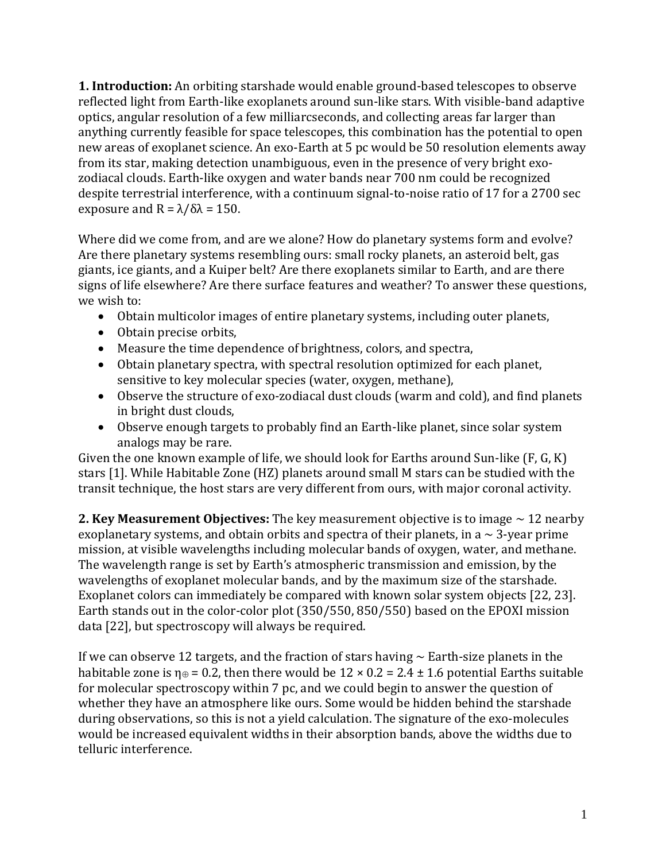**1. Introduction:** An orbiting starshade would enable ground-based telescopes to observe reflected light from Earth-like exoplanets around sun-like stars. With visible-band adaptive optics, angular resolution of a few milliarcseconds, and collecting areas far larger than anything currently feasible for space telescopes, this combination has the potential to open new areas of exoplanet science. An exo-Earth at 5 pc would be 50 resolution elements away from its star, making detection unambiguous, even in the presence of very bright exozodiacal clouds. Earth-like oxygen and water bands near 700 nm could be recognized despite terrestrial interference, with a continuum signal-to-noise ratio of 17 for a 2700 sec exposure and  $R = \lambda/\delta\lambda = 150$ .

Where did we come from, and are we alone? How do planetary systems form and evolve? Are there planetary systems resembling ours: small rocky planets, an asteroid belt, gas giants, ice giants, and a Kuiper belt? Are there exoplanets similar to Earth, and are there signs of life elsewhere? Are there surface features and weather? To answer these questions, we wish to:

- Obtain multicolor images of entire planetary systems, including outer planets,
- Obtain precise orbits,
- Measure the time dependence of brightness, colors, and spectra,
- Obtain planetary spectra, with spectral resolution optimized for each planet, sensitive to key molecular species (water, oxygen, methane),
- Observe the structure of exo-zodiacal dust clouds (warm and cold), and find planets in bright dust clouds,
- Observe enough targets to probably find an Earth-like planet, since solar system analogs may be rare.

Given the one known example of life, we should look for Earths around Sun-like (F, G, K) stars [1]. While Habitable Zone (HZ) planets around small M stars can be studied with the transit technique, the host stars are very different from ours, with major coronal activity.

**2. Key Measurement Objectives:** The key measurement objective is to image ~ 12 nearby exoplanetary systems, and obtain orbits and spectra of their planets, in a  $\sim$  3-year prime mission, at visible wavelengths including molecular bands of oxygen, water, and methane. The wavelength range is set by Earth's atmospheric transmission and emission, by the wavelengths of exoplanet molecular bands, and by the maximum size of the starshade. Exoplanet colors can immediately be compared with known solar system objects [22, 23]. Earth stands out in the color-color plot (350/550, 850/550) based on the EPOXI mission data [22], but spectroscopy will always be required.

If we can observe 12 targets, and the fraction of stars having  $\sim$  Earth-size planets in the habitable zone is  $\eta_{\theta} = 0.2$ , then there would be  $12 \times 0.2 = 2.4 \pm 1.6$  potential Earths suitable for molecular spectroscopy within 7 pc, and we could begin to answer the question of whether they have an atmosphere like ours. Some would be hidden behind the starshade during observations, so this is not a yield calculation. The signature of the exo-molecules would be increased equivalent widths in their absorption bands, above the widths due to telluric interference.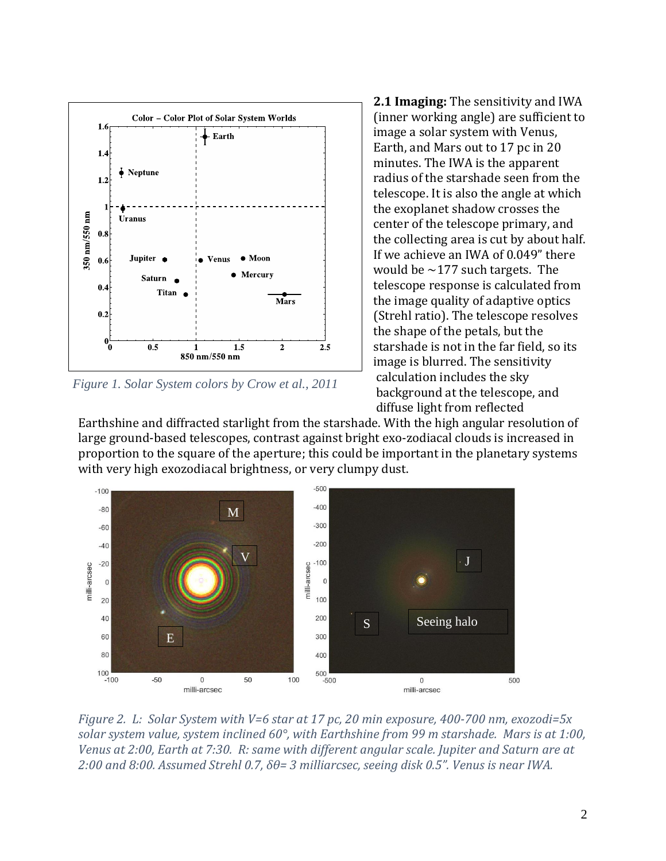

*Figure 1. Solar System colors by Crow et al., 2011*

**2.1 Imaging:** The sensitivity and IWA (inner working angle) are sufficient to image a solar system with Venus, Earth, and Mars out to 17 pc in 20 minutes. The IWA is the apparent radius of the starshade seen from the telescope. It is also the angle at which the exoplanet shadow crosses the center of the telescope primary, and the collecting area is cut by about half. If we achieve an IWA of 0.049" there would be  $\sim$ 177 such targets. The telescope response is calculated from the image quality of adaptive optics (Strehl ratio). The telescope resolves the shape of the petals, but the starshade is not in the far field, so its image is blurred. The sensitivity calculation includes the sky background at the telescope, and diffuse light from reflected

Earthshine and diffracted starlight from the starshade. With the high angular resolution of large ground-based telescopes, contrast against bright exo-zodiacal clouds is increased in proportion to the square of the aperture; this could be important in the planetary systems with very high exozodiacal brightness, or very clumpy dust.



*Figure 2. L: Solar System with V=6 star at 17 pc, 20 min exposure, 400-700 nm, exozodi=5x solar system value, system inclined 60°, with Earthshine from 99 m starshade. Mars is at 1:00, Venus at 2:00, Earth at 7:30. R: same with different angular scale. Jupiter and Saturn are at 2:00 and 8:00. Assumed Strehl 0.7, δθ= 3 milliarcsec, seeing disk 0.5". Venus is near IWA.*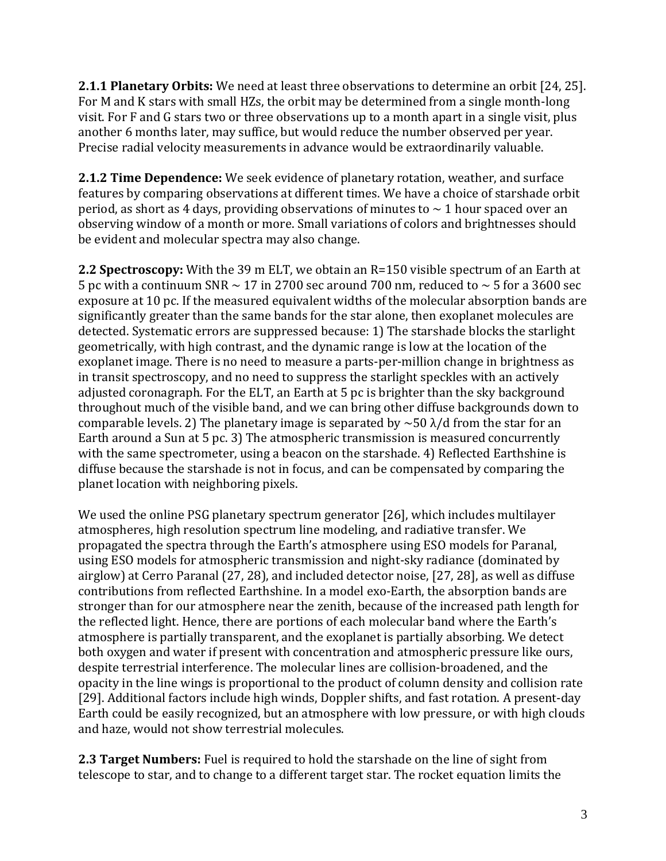**2.1.1 Planetary Orbits:** We need at least three observations to determine an orbit [24, 25]. For M and K stars with small HZs, the orbit may be determined from a single month-long visit. For F and G stars two or three observations up to a month apart in a single visit, plus another 6 months later, may suffice, but would reduce the number observed per year. Precise radial velocity measurements in advance would be extraordinarily valuable.

**2.1.2 Time Dependence:** We seek evidence of planetary rotation, weather, and surface features by comparing observations at different times. We have a choice of starshade orbit period, as short as 4 days, providing observations of minutes to  $\sim$  1 hour spaced over an observing window of a month or more. Small variations of colors and brightnesses should be evident and molecular spectra may also change.

**2.2 Spectroscopy:** With the 39 m ELT, we obtain an R=150 visible spectrum of an Earth at 5 pc with a continuum SNR  $\sim$  17 in 2700 sec around 700 nm, reduced to  $\sim$  5 for a 3600 sec exposure at 10 pc. If the measured equivalent widths of the molecular absorption bands are significantly greater than the same bands for the star alone, then exoplanet molecules are detected. Systematic errors are suppressed because: 1) The starshade blocks the starlight geometrically, with high contrast, and the dynamic range is low at the location of the exoplanet image. There is no need to measure a parts-per-million change in brightness as in transit spectroscopy, and no need to suppress the starlight speckles with an actively adjusted coronagraph. For the ELT, an Earth at 5 pc is brighter than the sky background throughout much of the visible band, and we can bring other diffuse backgrounds down to comparable levels. 2) The planetary image is separated by  $\sim$  50  $\lambda$ /d from the star for an Earth around a Sun at 5 pc. 3) The atmospheric transmission is measured concurrently with the same spectrometer, using a beacon on the starshade. 4) Reflected Earthshine is diffuse because the starshade is not in focus, and can be compensated by comparing the planet location with neighboring pixels.

We used the online PSG planetary spectrum generator [26], which includes multilayer atmospheres, high resolution spectrum line modeling, and radiative transfer. We propagated the spectra through the Earth's atmosphere using ESO models for Paranal, using ESO models for atmospheric transmission and night-sky radiance (dominated by airglow) at Cerro Paranal (27, 28), and included detector noise, [27, 28], as well as diffuse contributions from reflected Earthshine. In a model exo-Earth, the absorption bands are stronger than for our atmosphere near the zenith, because of the increased path length for the reflected light. Hence, there are portions of each molecular band where the Earth's atmosphere is partially transparent, and the exoplanet is partially absorbing. We detect both oxygen and water if present with concentration and atmospheric pressure like ours, despite terrestrial interference. The molecular lines are collision-broadened, and the opacity in the line wings is proportional to the product of column density and collision rate [29]. Additional factors include high winds, Doppler shifts, and fast rotation. A present-day Earth could be easily recognized, but an atmosphere with low pressure, or with high clouds and haze, would not show terrestrial molecules.

**2.3 Target Numbers:** Fuel is required to hold the starshade on the line of sight from telescope to star, and to change to a different target star. The rocket equation limits the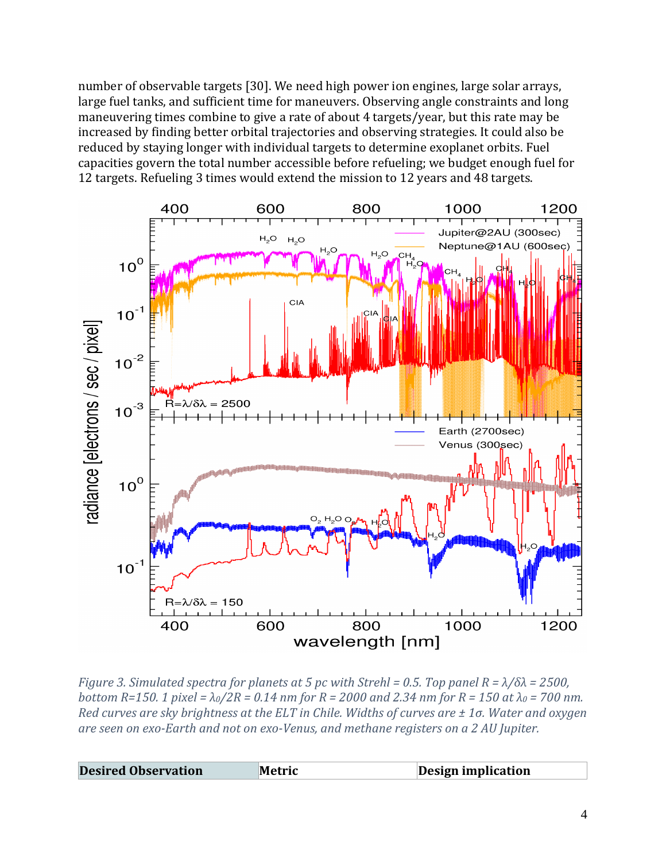number of observable targets [30]. We need high power ion engines, large solar arrays, large fuel tanks, and sufficient time for maneuvers. Observing angle constraints and long maneuvering times combine to give a rate of about 4 targets/year, but this rate may be increased by finding better orbital trajectories and observing strategies. It could also be reduced by staying longer with individual targets to determine exoplanet orbits. Fuel capacities govern the total number accessible before refueling; we budget enough fuel for 12 targets. Refueling 3 times would extend the mission to 12 years and 48 targets.



*Figure 3. Simulated spectra for planets at 5 pc with Strehl = 0.5. Top panel R = λ/δλ = 2500, bottom R=150. 1 pixel = λ0/2R = 0.14 nm for R = 2000 and 2.34 nm for R = 150 at λ<sup>0</sup> = 700 nm. Red curves are sky brightness at the ELT in Chile. Widths of curves are ± 1σ. Water and oxygen are seen on exo-Earth and not on exo-Venus, and methane registers on a 2 AU Jupiter.* 

| <b>Desired Observation</b> | Metric | <b>Design implication</b> |
|----------------------------|--------|---------------------------|
|----------------------------|--------|---------------------------|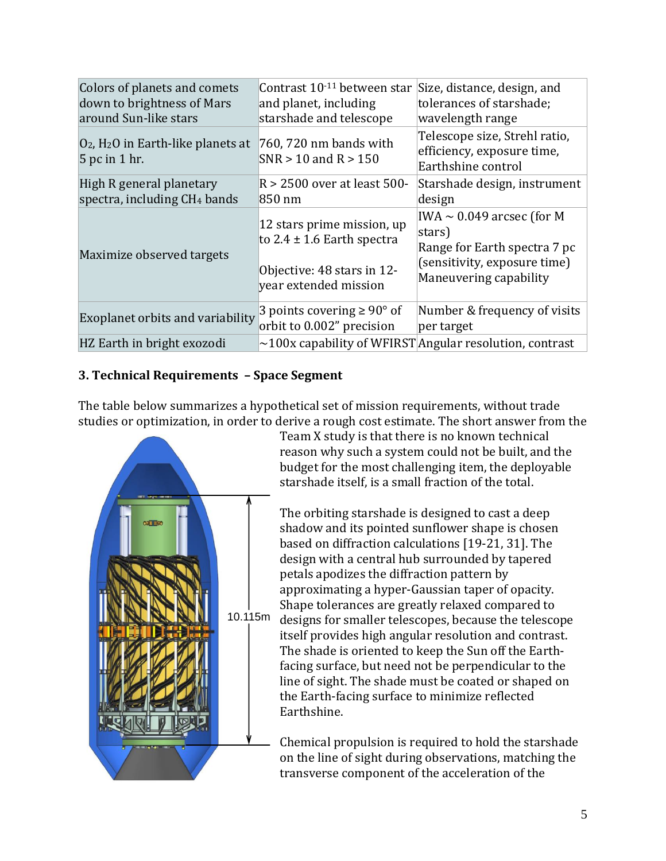| Colors of planets and comets<br>down to brightness of Mars<br>around Sun-like stars | Contrast 10 <sup>-11</sup> between star<br>and planet, including<br>starshade and telescope                         | Size, distance, design, and<br>tolerances of starshade;<br>wavelength range                                                               |
|-------------------------------------------------------------------------------------|---------------------------------------------------------------------------------------------------------------------|-------------------------------------------------------------------------------------------------------------------------------------------|
| $O_2$ , H <sub>2</sub> O in Earth-like planets at<br>5 pc in 1 hr.                  | 760, 720 nm bands with<br>$SNR > 10$ and $R > 150$                                                                  | Telescope size, Strehl ratio,<br>efficiency, exposure time,<br>Earthshine control                                                         |
| High R general planetary<br>spectra, including CH <sub>4</sub> bands                | R > 2500 over at least 500-<br>850 nm                                                                               | Starshade design, instrument<br>design                                                                                                    |
| Maximize observed targets                                                           | 12 stars prime mission, up<br>to $2.4 \pm 1.6$ Earth spectra<br>Objective: 48 stars in 12-<br>year extended mission | $\text{IWA} \sim 0.049$ arcsec (for M<br>stars)<br>Range for Earth spectra 7 pc<br>(sensitivity, exposure time)<br>Maneuvering capability |
| Exoplanet orbits and variability                                                    | 3 points covering $\geq 90^{\circ}$ of<br>orbit to 0.002" precision                                                 | Number & frequency of visits<br>per target                                                                                                |
| HZ Earth in bright exozodi                                                          |                                                                                                                     | $\sim$ 100x capability of WFIRST Angular resolution, contrast                                                                             |

# **3. Technical Requirements – Space Segment**

The table below summarizes a hypothetical set of mission requirements, without trade rife table below summarizes a hypothetical set of mission requirements, without trade<br>studies or optimization, in order to derive a rough cost estimate. The short answer from the



Team X study is that there is no known technical reason why such a system could not be built, and the budget for the most challenging item, the deployable starshade itself, is a small fraction of the total.

The orbiting starshade is designed to cast a deep shadow and its pointed sunflower shape is chosen based on diffraction calculations [19-21, 31]. The design with a central hub surrounded by tapered petals apodizes the diffraction pattern by approximating a hyper-Gaussian taper of opacity. Shape tolerances are greatly relaxed compared to designs for smaller telescopes, because the telescope itself provides high angular resolution and contrast. The shade is oriented to keep the Sun off the Earthfacing surface, but need not be perpendicular to the line of sight. The shade must be coated or shaped on the Earth-facing surface to minimize reflected Earthshine.

Chemical propulsion is required to hold the starshade on the line of sight during observations, matching the transverse component of the acceleration of the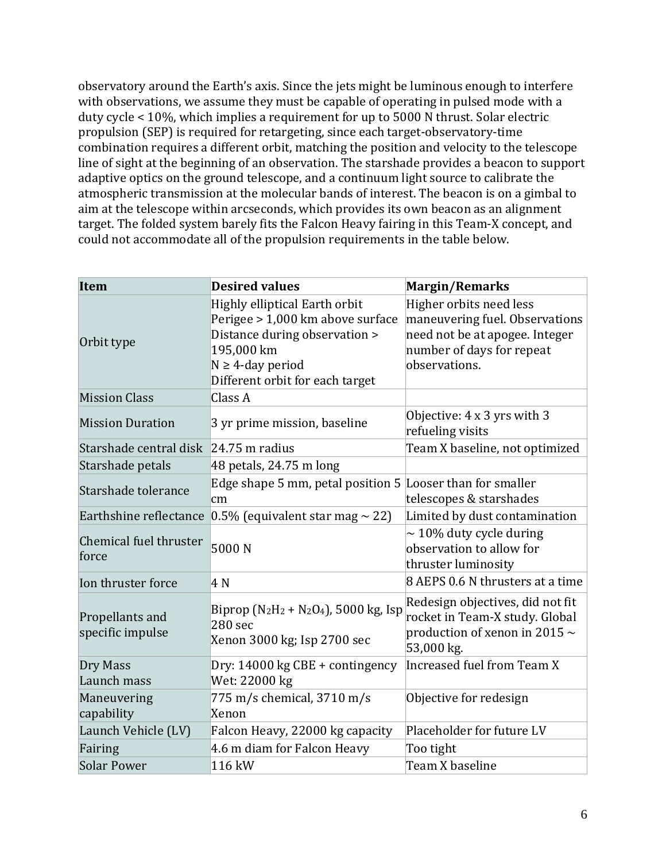observatory around the Earth's axis. Since the jets might be luminous enough to interfere with observations, we assume they must be capable of operating in pulsed mode with a duty cycle < 10%, which implies a requirement for up to 5000 N thrust. Solar electric propulsion (SEP) is required for retargeting, since each target-observatory-time combination requires a different orbit, matching the position and velocity to the telescope line of sight at the beginning of an observation. The starshade provides a beacon to support adaptive optics on the ground telescope, and a continuum light source to calibrate the atmospheric transmission at the molecular bands of interest. The beacon is on a gimbal to aim at the telescope within arcseconds, which provides its own beacon as an alignment target. The folded system barely fits the Falcon Heavy fairing in this Team-X concept, and could not accommodate all of the propulsion requirements in the table below.

| <b>Item</b>                         | <b>Desired values</b>                                                                                                                                                         | <b>Margin/Remarks</b>                                                                                                                     |
|-------------------------------------|-------------------------------------------------------------------------------------------------------------------------------------------------------------------------------|-------------------------------------------------------------------------------------------------------------------------------------------|
| Orbit type                          | Highly elliptical Earth orbit<br>Perigee > 1,000 km above surface<br>Distance during observation ><br>195,000 km<br>$N \geq 4$ -day period<br>Different orbit for each target | Higher orbits need less<br>maneuvering fuel. Observations<br>need not be at apogee. Integer<br>number of days for repeat<br>observations. |
| <b>Mission Class</b>                | Class A                                                                                                                                                                       |                                                                                                                                           |
| <b>Mission Duration</b>             | 3 yr prime mission, baseline                                                                                                                                                  | Objective: 4 x 3 yrs with 3<br>refueling visits                                                                                           |
| Starshade central disk              | $ 24.75 \text{ m} \text{ radius} $                                                                                                                                            | Team X baseline, not optimized                                                                                                            |
| Starshade petals                    | 48 petals, 24.75 m long                                                                                                                                                       |                                                                                                                                           |
| Starshade tolerance                 | Edge shape 5 mm, petal position $5$ Looser than for smaller<br>cm                                                                                                             | telescopes & starshades                                                                                                                   |
| Earthshine reflectance              | 0.5% (equivalent star mag $\sim$ 22)                                                                                                                                          | Limited by dust contamination                                                                                                             |
| Chemical fuel thruster<br>force     | 5000N                                                                                                                                                                         | $\sim$ 10% duty cycle during<br>observation to allow for<br>thruster luminosity                                                           |
| Ion thruster force                  | 4 N                                                                                                                                                                           | 8 AEPS 0.6 N thrusters at a time                                                                                                          |
| Propellants and<br>specific impulse | Biprop ( $N_2H_2 + N_2O_4$ ), 5000 kg, Isp<br>280 sec<br>Xenon 3000 kg; Isp 2700 sec                                                                                          | Redesign objectives, did not fit<br>rocket in Team-X study. Global<br>production of xenon in 2015 $\sim$<br>53,000 kg.                    |
| Dry Mass<br>Launch mass             | Dry: 14000 kg CBE + contingency<br>Wet: 22000 kg                                                                                                                              | Increased fuel from Team X                                                                                                                |
| Maneuvering<br>capability           | 775 m/s chemical, 3710 m/s<br>Xenon                                                                                                                                           | Objective for redesign                                                                                                                    |
| Launch Vehicle (LV)                 | Falcon Heavy, 22000 kg capacity                                                                                                                                               | Placeholder for future LV                                                                                                                 |
| Fairing                             | 4.6 m diam for Falcon Heavy                                                                                                                                                   | Too tight                                                                                                                                 |
| Solar Power                         | 116 kW                                                                                                                                                                        | Team X baseline                                                                                                                           |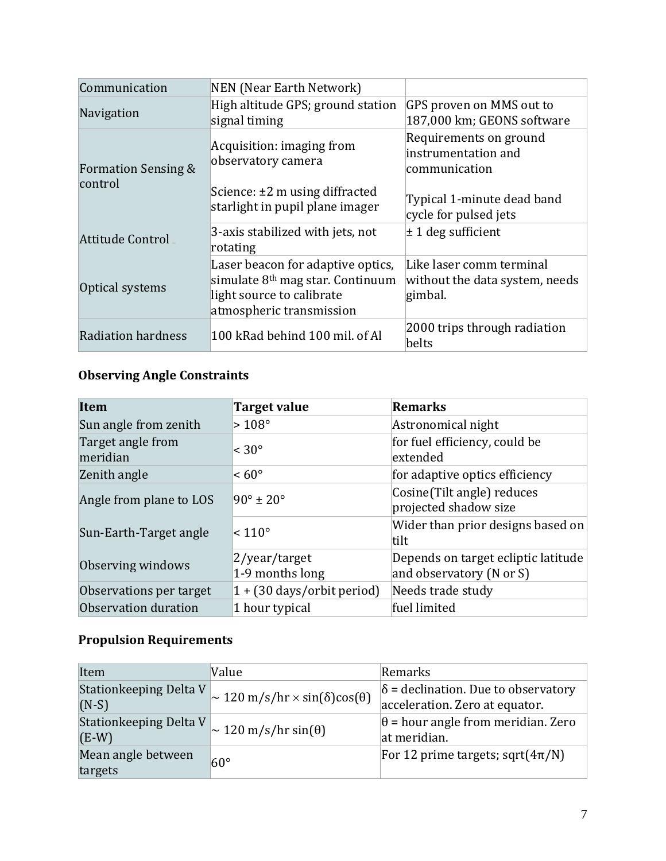| Communication                             | <b>NEN</b> (Near Earth Network)                                                                                                  |                                                                       |
|-------------------------------------------|----------------------------------------------------------------------------------------------------------------------------------|-----------------------------------------------------------------------|
| Navigation                                | High altitude GPS; ground station<br>signal timing                                                                               | GPS proven on MMS out to<br>187,000 km; GEONS software                |
| <b>Formation Sensing &amp;</b><br>control | Acquisition: imaging from<br>observatory camera                                                                                  | Requirements on ground<br>instrumentation and<br>communication        |
|                                           | Science: $\pm 2$ m using diffracted<br>starlight in pupil plane imager                                                           | Typical 1-minute dead band<br>cycle for pulsed jets                   |
| <b>Attitude Control</b>                   | 3-axis stabilized with jets, not<br>rotating                                                                                     | $\pm$ 1 deg sufficient                                                |
| Optical systems                           | Laser beacon for adaptive optics,<br>simulate $8th$ mag star. Continuum<br>light source to calibrate<br>atmospheric transmission | Like laser comm terminal<br>without the data system, needs<br>gimbal. |
| Radiation hardness                        | 100 kRad behind 100 mil. of Al                                                                                                   | 2000 trips through radiation<br>belts                                 |

# **Observing Angle Constraints**

| <b>Item</b>                   | <b>Target value</b>                  | <b>Remarks</b>                                                  |
|-------------------------------|--------------------------------------|-----------------------------------------------------------------|
| Sun angle from zenith         | $>108^\circ$                         | Astronomical night                                              |
| Target angle from<br>meridian | $< 30^{\circ}$                       | for fuel efficiency, could be<br>extended                       |
| Zenith angle                  | $~50^{\circ}$                        | for adaptive optics efficiency                                  |
| Angle from plane to LOS       | $90^\circ \pm 20^\circ$              | Cosine(Tilt angle) reduces<br>projected shadow size             |
| Sun-Earth-Target angle        | $\leq 110^{\circ}$                   | Wider than prior designs based on<br>tilt                       |
| Observing windows             | 2/year/target<br>1-9 months long     | Depends on target ecliptic latitude<br>and observatory (N or S) |
| Observations per target       | $1 + (30 \text{ days/orbit period})$ | Needs trade study                                               |
| Observation duration          | 1 hour typical                       | fuel limited                                                    |

# **Propulsion Requirements**

| Item                              | Value                                                     | Remarks                                                                      |
|-----------------------------------|-----------------------------------------------------------|------------------------------------------------------------------------------|
| Stationkeeping Delta V<br>$(N-S)$ | $\sim$ 120 m/s/hr $\times$ sin( $\delta$ )cos( $\theta$ ) | $\delta$ = declination. Due to observatory<br>acceleration. Zero at equator. |
| Stationkeeping Delta V<br>$(E-W)$ | $\sim$ 120 m/s/hr sin( $\theta$ )                         | $\theta$ = hour angle from meridian. Zero<br>at meridian.                    |
| Mean angle between<br>targets     | $60^{\circ}$                                              | For 12 prime targets; sqrt $(4\pi/N)$                                        |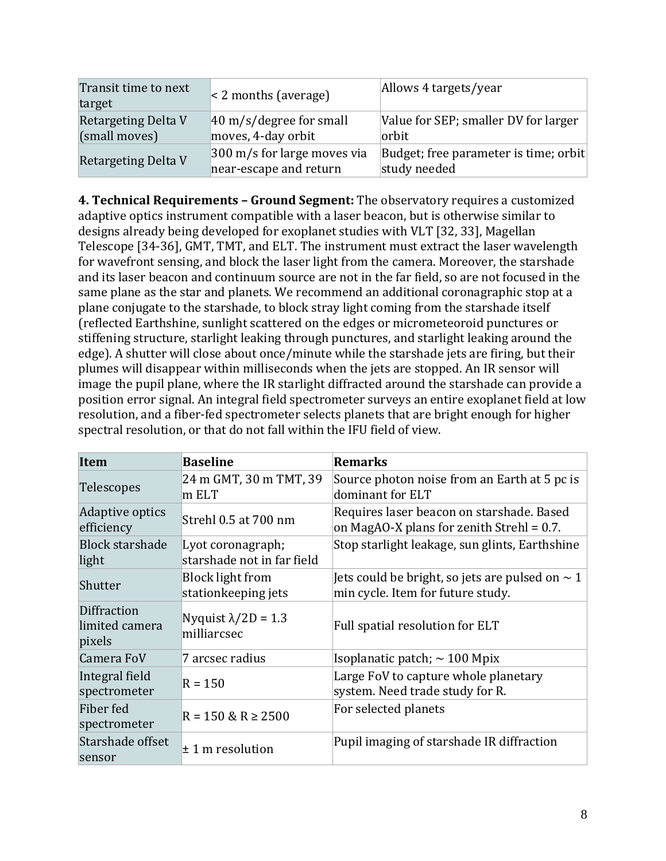| Transit time to next<br>target       | $\leq$ 2 months (average)                                        | Allows 4 targets/year                                 |
|--------------------------------------|------------------------------------------------------------------|-------------------------------------------------------|
| Retargeting Delta V<br>(small moves) | $ 40 \text{ m/s}/$ degree for small<br>moves, 4-day orbit        | Value for SEP; smaller DV for larger<br>orbit         |
| Retargeting Delta V                  | $ 300 \text{ m/s}$ for large moves via<br>near-escape and return | Budget; free parameter is time; orbit<br>study needed |

**4. Technical Requirements – Ground Segment:** The observatory requires a customized adaptive optics instrument compatible with a laser beacon, but is otherwise similar to designs already being developed for exoplanet studies with VLT [32, 33], Magellan Telescope [34-36], GMT, TMT, and ELT. The instrument must extract the laser wavelength for wavefront sensing, and block the laser light from the camera. Moreover, the starshade and its laser beacon and continuum source are not in the far field, so are not focused in the same plane as the star and planets. We recommend an additional coronagraphic stop at a plane conjugate to the starshade, to block stray light coming from the starshade itself (reflected Earthshine, sunlight scattered on the edges or micrometeoroid punctures or stiffening structure, starlight leaking through punctures, and starlight leaking around the edge). A shutter will close about once/minute while the starshade jets are firing, but their plumes will disappear within milliseconds when the jets are stopped. An IR sensor will image the pupil plane, where the IR starlight diffracted around the starshade can provide a position error signal. An integral field spectrometer surveys an entire exoplanet field at low resolution, and a fiber-fed spectrometer selects planets that are bright enough for higher spectral resolution, or that do not fall within the IFU field of view.

| Item                                    | <b>Baseline</b>                                 | <b>Remarks</b>                                                                            |
|-----------------------------------------|-------------------------------------------------|-------------------------------------------------------------------------------------------|
| Telescopes                              | 24 m GMT, 30 m TMT, 39<br>$\ln$ ELT             | Source photon noise from an Earth at 5 pc is<br>dominant for ELT                          |
| Adaptive optics<br>efficiency           | Strehl 0.5 at 700 nm                            | Requires laser beacon on starshade. Based<br>on MagAO-X plans for zenith Strehl = $0.7$ . |
| <b>Block starshade</b><br>light         | Lyot coronagraph;<br>starshade not in far field | Stop starlight leakage, sun glints, Earthshine                                            |
| Shutter                                 | <b>Block light from</b><br>stationkeeping jets  | Jets could be bright, so jets are pulsed on $\sim$ 1<br>min cycle. Item for future study. |
| Diffraction<br>limited camera<br>pixels | Nyquist $\lambda$ /2D = 1.3<br>milliarcsec      | Full spatial resolution for ELT                                                           |
| Camera FoV                              | 7 arcsec radius                                 | Isoplanatic patch; $\sim$ 100 Mpix                                                        |
| Integral field<br>spectrometer          | $R = 150$                                       | Large FoV to capture whole planetary<br>system. Need trade study for R.                   |
| Fiber fed<br>spectrometer               | $R = 150 \& R \ge 2500$                         | For selected planets                                                                      |
| Starshade offset<br>sensor              | $± 1$ m resolution                              | Pupil imaging of starshade IR diffraction                                                 |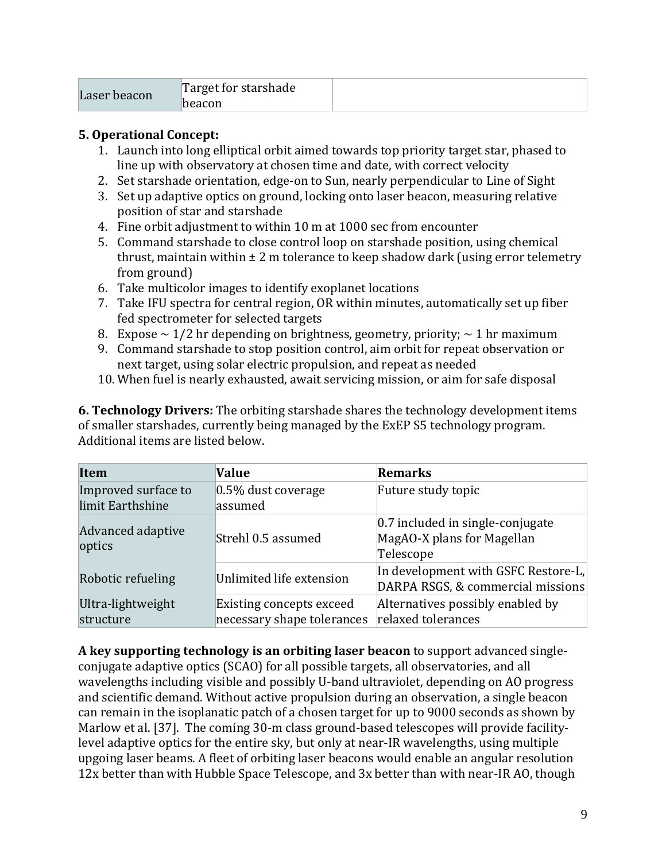# **5. Operational Concept:**

- 1. Launch into long elliptical orbit aimed towards top priority target star, phased to line up with observatory at chosen time and date, with correct velocity
- 2. Set starshade orientation, edge-on to Sun, nearly perpendicular to Line of Sight
- 3. Set up adaptive optics on ground, locking onto laser beacon, measuring relative position of star and starshade
- 4. Fine orbit adjustment to within 10 m at 1000 sec from encounter
- 5. Command starshade to close control loop on starshade position, using chemical thrust, maintain within  $\pm 2$  m tolerance to keep shadow dark (using error telemetry from ground)
- 6. Take multicolor images to identify exoplanet locations
- 7. Take IFU spectra for central region, OR within minutes, automatically set up fiber fed spectrometer for selected targets
- 8. Expose  $\sim 1/2$  hr depending on brightness, geometry, priority;  $\sim 1$  hr maximum
- 9. Command starshade to stop position control, aim orbit for repeat observation or next target, using solar electric propulsion, and repeat as needed
- 10. When fuel is nearly exhausted, await servicing mission, or aim for safe disposal

**6. Technology Drivers:** The orbiting starshade shares the technology development items of smaller starshades, currently being managed by the ExEP S5 technology program. Additional items are listed below.

| <b>Item</b>                             | <b>Value</b>                                           | Remarks                                                                        |
|-----------------------------------------|--------------------------------------------------------|--------------------------------------------------------------------------------|
| Improved surface to<br>limit Earthshine | $ 0.5\%$ dust coverage<br>assumed                      | Future study topic                                                             |
| Advanced adaptive<br>optics             | Strehl 0.5 assumed                                     | $ 0.7$ included in single-conjugate<br>MagAO-X plans for Magellan<br>Telescope |
| Robotic refueling                       | Unlimited life extension                               | In development with GSFC Restore-L,<br>DARPA RSGS, & commercial missions       |
| Ultra-lightweight<br>structure          | Existing concepts exceed<br>necessary shape tolerances | Alternatives possibly enabled by<br>relaxed tolerances                         |

**A key supporting technology is an orbiting laser beacon** to support advanced singleconjugate adaptive optics (SCAO) for all possible targets, all observatories, and all wavelengths including visible and possibly U-band ultraviolet, depending on AO progress and scientific demand. Without active propulsion during an observation, a single beacon can remain in the isoplanatic patch of a chosen target for up to 9000 seconds as shown by Marlow et al. [37]. The coming 30-m class ground-based telescopes will provide facilitylevel adaptive optics for the entire sky, but only at near-IR wavelengths, using multiple upgoing laser beams. A fleet of orbiting laser beacons would enable an angular resolution 12x better than with Hubble Space Telescope, and 3x better than with near-IR AO, though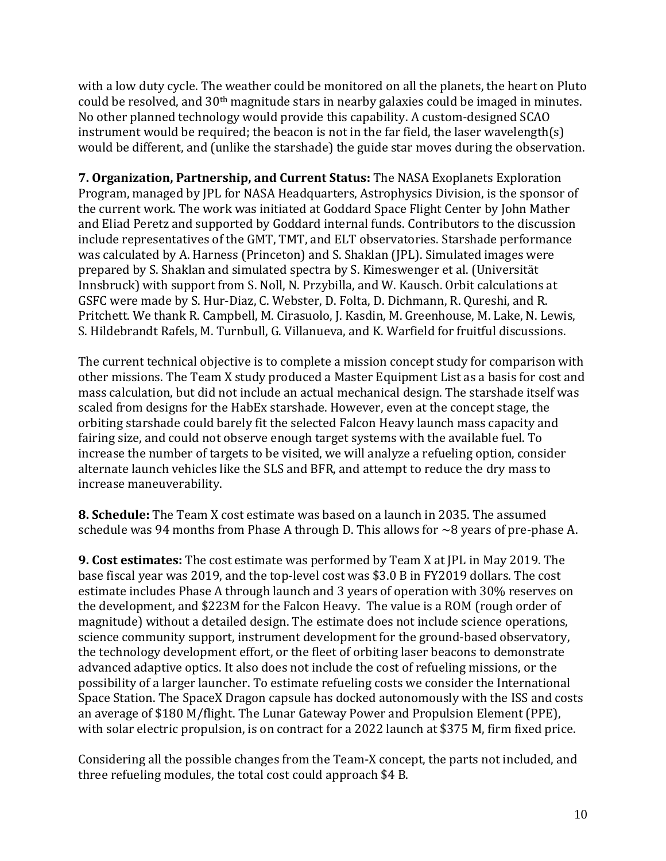with a low duty cycle. The weather could be monitored on all the planets, the heart on Pluto could be resolved, and 30th magnitude stars in nearby galaxies could be imaged in minutes. No other planned technology would provide this capability. A custom-designed SCAO instrument would be required; the beacon is not in the far field, the laser wavelength(s) would be different, and (unlike the starshade) the guide star moves during the observation.

**7. Organization, Partnership, and Current Status:** The NASA Exoplanets Exploration Program, managed by JPL for NASA Headquarters, Astrophysics Division, is the sponsor of the current work. The work was initiated at Goddard Space Flight Center by John Mather and Eliad Peretz and supported by Goddard internal funds. Contributors to the discussion include representatives of the GMT, TMT, and ELT observatories. Starshade performance was calculated by A. Harness (Princeton) and S. Shaklan (JPL). Simulated images were prepared by S. Shaklan and simulated spectra by S. Kimeswenger et al. (Universität Innsbruck) with support from S. Noll, N. Przybilla, and W. Kausch. Orbit calculations at GSFC were made by S. Hur-Diaz, C. Webster, D. Folta, D. Dichmann, R. Qureshi, and R. Pritchett. We thank R. Campbell, M. Cirasuolo, J. Kasdin, M. Greenhouse, M. Lake, N. Lewis, S. Hildebrandt Rafels, M. Turnbull, G. Villanueva, and K. Warfield for fruitful discussions.

The current technical objective is to complete a mission concept study for comparison with other missions. The Team X study produced a Master Equipment List as a basis for cost and mass calculation, but did not include an actual mechanical design. The starshade itself was scaled from designs for the HabEx starshade. However, even at the concept stage, the orbiting starshade could barely fit the selected Falcon Heavy launch mass capacity and fairing size, and could not observe enough target systems with the available fuel. To increase the number of targets to be visited, we will analyze a refueling option, consider alternate launch vehicles like the SLS and BFR, and attempt to reduce the dry mass to increase maneuverability.

**8. Schedule:** The Team X cost estimate was based on a launch in 2035. The assumed schedule was 94 months from Phase A through D. This allows for  $\sim$ 8 years of pre-phase A.

**9. Cost estimates:** The cost estimate was performed by Team X at JPL in May 2019. The base fiscal year was 2019, and the top-level cost was \$3.0 B in FY2019 dollars. The cost estimate includes Phase A through launch and 3 years of operation with 30% reserves on the development, and \$223M for the Falcon Heavy. The value is a ROM (rough order of magnitude) without a detailed design. The estimate does not include science operations, science community support, instrument development for the ground-based observatory, the technology development effort, or the fleet of orbiting laser beacons to demonstrate advanced adaptive optics. It also does not include the cost of refueling missions, or the possibility of a larger launcher. To estimate refueling costs we consider the International Space Station. The SpaceX Dragon capsule has docked autonomously with the ISS and costs an average of \$180 M/flight. The Lunar Gateway Power and Propulsion Element (PPE), with solar electric propulsion, is on contract for a 2022 launch at \$375 M, firm fixed price.

Considering all the possible changes from the Team-X concept, the parts not included, and three refueling modules, the total cost could approach \$4 B.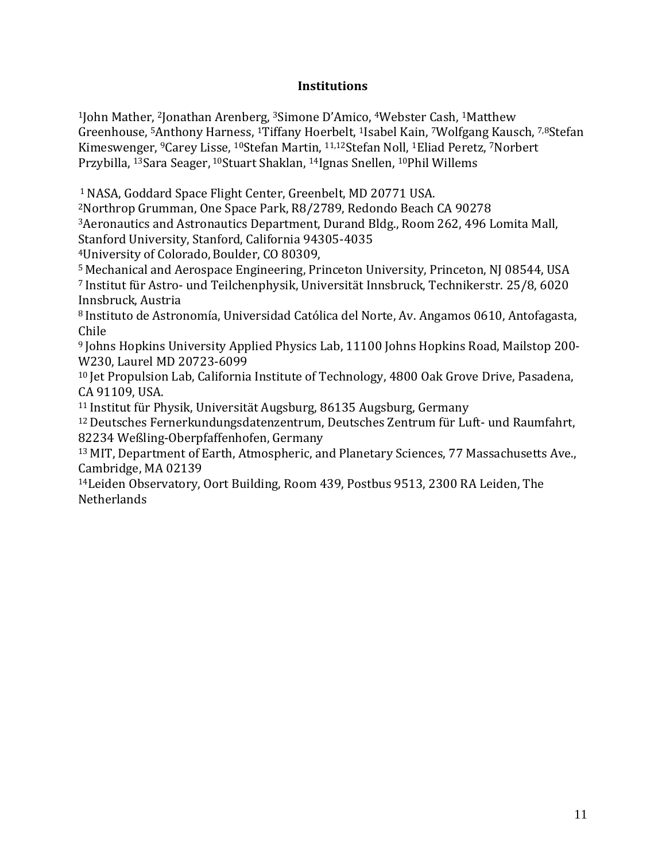# **Institutions**

<sup>1</sup>John Mather, 2Jonathan Arenberg, 3Simone D'Amico, 4Webster Cash, <sup>1</sup>Matthew Greenhouse, <sup>5</sup>Anthony Harness, 1Tiffany Hoerbelt, <sup>1</sup>Isabel Kain, 7Wolfgang Kausch, 7,8Stefan Kimeswenger, 9Carey Lisse, 10Stefan Martin, 11,12Stefan Noll, <sup>1</sup>Eliad Peretz, 7Norbert Przybilla, <sup>13</sup>Sara Seager, <sup>10</sup>Stuart Shaklan, <sup>14</sup>Ignas Snellen, <sup>10</sup>Phil Willems

<sup>1</sup>NASA, Goddard Space Flight Center, Greenbelt, MD 20771 USA.

<sup>2</sup>Northrop Grumman, One Space Park, R8/2789, Redondo Beach CA 90278

<sup>3</sup>Aeronautics and Astronautics Department, Durand Bldg., Room 262, 496 Lomita Mall,

Stanford University, Stanford, California 94305-4035

<sup>4</sup>University of Colorado, Boulder, CO 80309,

<sup>5</sup> Mechanical and Aerospace Engineering, Princeton University, Princeton, NJ 08544, USA <sup>7</sup> Institut für Astro- und Teilchenphysik, Universität Innsbruck, Technikerstr. 25/8, 6020 Innsbruck, Austria

<sup>8</sup> Instituto de Astronomía, Universidad Católica del Norte, Av. Angamos 0610, Antofagasta, Chile

<sup>9</sup> Johns Hopkins University Applied Physics Lab, 11100 Johns Hopkins Road, Mailstop 200- W230, Laurel MD 20723-6099

<sup>10</sup> Jet Propulsion Lab, California Institute of Technology, 4800 Oak Grove Drive, Pasadena, CA 91109, USA.

<sup>11</sup> Institut für Physik, Universität Augsburg, 86135 Augsburg, Germany

<sup>12</sup>Deutsches Fernerkundungsdatenzentrum, Deutsches Zentrum für Luft- und Raumfahrt, 82234 Weßling-Oberpfaffenhofen, Germany

<sup>13</sup> MIT, Department of Earth, Atmospheric, and Planetary Sciences, 77 Massachusetts Ave., Cambridge, MA 02139

<sup>14</sup>Leiden Observatory, Oort Building, Room 439, Postbus 9513, 2300 RA Leiden, The **Netherlands**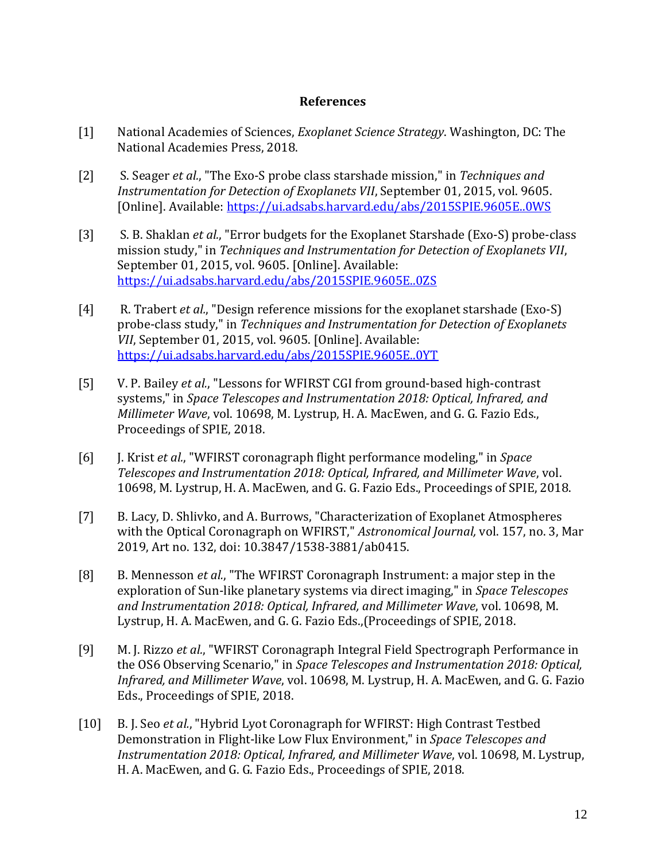## **References**

- [1] National Academies of Sciences, *Exoplanet Science Strategy*. Washington, DC: The National Academies Press, 2018.
- [2] S. Seager *et al.*, "The Exo-S probe class starshade mission," in *Techniques and Instrumentation for Detection of Exoplanets VII*, September 01, 2015, vol. 9605. [Online]. Available:<https://ui.adsabs.harvard.edu/abs/2015SPIE.9605E..0WS>
- [3] S. B. Shaklan *et al.*, "Error budgets for the Exoplanet Starshade (Exo-S) probe-class mission study," in *Techniques and Instrumentation for Detection of Exoplanets VII*, September 01, 2015, vol. 9605. [Online]. Available: <https://ui.adsabs.harvard.edu/abs/2015SPIE.9605E..0ZS>
- [4] R. Trabert *et al.*, "Design reference missions for the exoplanet starshade (Exo-S) probe-class study," in *Techniques and Instrumentation for Detection of Exoplanets VII*, September 01, 2015, vol. 9605. [Online]. Available: <https://ui.adsabs.harvard.edu/abs/2015SPIE.9605E..0YT>
- [5] V. P. Bailey *et al.*, "Lessons for WFIRST CGI from ground-based high-contrast systems," in *Space Telescopes and Instrumentation 2018: Optical, Infrared, and Millimeter Wave*, vol. 10698, M. Lystrup, H. A. MacEwen, and G. G. Fazio Eds., Proceedings of SPIE, 2018.
- [6] J. Krist *et al.*, "WFIRST coronagraph flight performance modeling," in *Space Telescopes and Instrumentation 2018: Optical, Infrared, and Millimeter Wave*, vol. 10698, M. Lystrup, H. A. MacEwen, and G. G. Fazio Eds., Proceedings of SPIE, 2018.
- [7] B. Lacy, D. Shlivko, and A. Burrows, "Characterization of Exoplanet Atmospheres with the Optical Coronagraph on WFIRST," *Astronomical Journal,* vol. 157, no. 3, Mar 2019, Art no. 132, doi: 10.3847/1538-3881/ab0415.
- [8] B. Mennesson *et al.*, "The WFIRST Coronagraph Instrument: a major step in the exploration of Sun-like planetary systems via direct imaging," in *Space Telescopes and Instrumentation 2018: Optical, Infrared, and Millimeter Wave*, vol. 10698, M. Lystrup, H. A. MacEwen, and G. G. Fazio Eds.,(Proceedings of SPIE, 2018.
- [9] M. J. Rizzo *et al.*, "WFIRST Coronagraph Integral Field Spectrograph Performance in the OS6 Observing Scenario," in *Space Telescopes and Instrumentation 2018: Optical, Infrared, and Millimeter Wave*, vol. 10698, M. Lystrup, H. A. MacEwen, and G. G. Fazio Eds., Proceedings of SPIE, 2018.
- [10] B. J. Seo *et al.*, "Hybrid Lyot Coronagraph for WFIRST: High Contrast Testbed Demonstration in Flight-like Low Flux Environment," in *Space Telescopes and Instrumentation 2018: Optical, Infrared, and Millimeter Wave*, vol. 10698, M. Lystrup, H. A. MacEwen, and G. G. Fazio Eds., Proceedings of SPIE, 2018.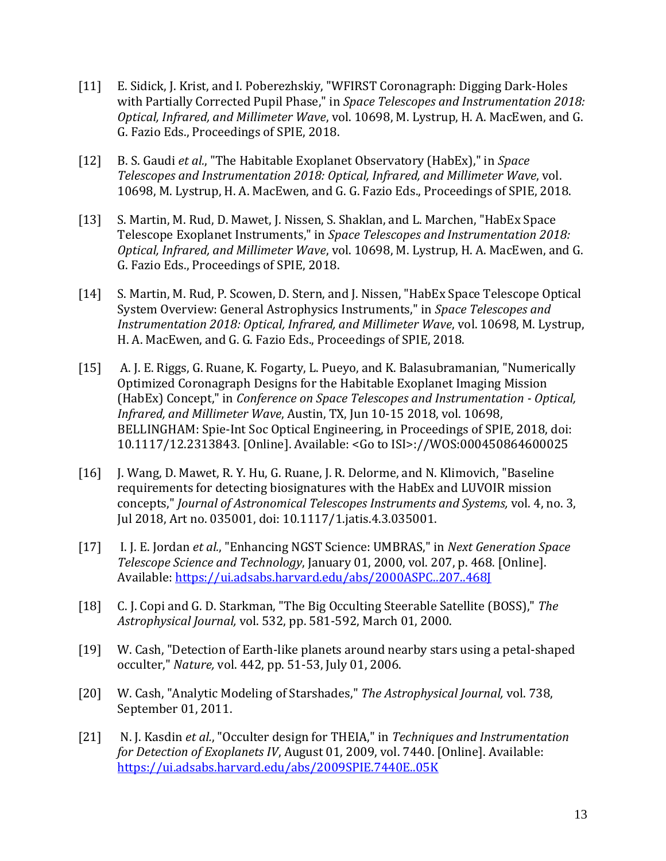- [11] E. Sidick, J. Krist, and I. Poberezhskiy, "WFIRST Coronagraph: Digging Dark-Holes with Partially Corrected Pupil Phase," in *Space Telescopes and Instrumentation 2018: Optical, Infrared, and Millimeter Wave*, vol. 10698, M. Lystrup, H. A. MacEwen, and G. G. Fazio Eds., Proceedings of SPIE, 2018.
- [12] B. S. Gaudi *et al.*, "The Habitable Exoplanet Observatory (HabEx)," in *Space Telescopes and Instrumentation 2018: Optical, Infrared, and Millimeter Wave*, vol. 10698, M. Lystrup, H. A. MacEwen, and G. G. Fazio Eds., Proceedings of SPIE, 2018.
- [13] S. Martin, M. Rud, D. Mawet, J. Nissen, S. Shaklan, and L. Marchen, "HabEx Space Telescope Exoplanet Instruments," in *Space Telescopes and Instrumentation 2018: Optical, Infrared, and Millimeter Wave*, vol. 10698, M. Lystrup, H. A. MacEwen, and G. G. Fazio Eds., Proceedings of SPIE, 2018.
- [14] S. Martin, M. Rud, P. Scowen, D. Stern, and J. Nissen, "HabEx Space Telescope Optical System Overview: General Astrophysics Instruments," in *Space Telescopes and Instrumentation 2018: Optical, Infrared, and Millimeter Wave*, vol. 10698, M. Lystrup, H. A. MacEwen, and G. G. Fazio Eds., Proceedings of SPIE, 2018.
- [15] A. J. E. Riggs, G. Ruane, K. Fogarty, L. Pueyo, and K. Balasubramanian, "Numerically Optimized Coronagraph Designs for the Habitable Exoplanet Imaging Mission (HabEx) Concept," in *Conference on Space Telescopes and Instrumentation - Optical, Infrared, and Millimeter Wave*, Austin, TX, Jun 10-15 2018, vol. 10698, BELLINGHAM: Spie-Int Soc Optical Engineering, in Proceedings of SPIE, 2018, doi: 10.1117/12.2313843. [Online]. Available: <Go to ISI>://WOS:000450864600025
- [16] J. Wang, D. Mawet, R. Y. Hu, G. Ruane, J. R. Delorme, and N. Klimovich, "Baseline requirements for detecting biosignatures with the HabEx and LUVOIR mission concepts," *Journal of Astronomical Telescopes Instruments and Systems,* vol. 4, no. 3, Jul 2018, Art no. 035001, doi: 10.1117/1.jatis.4.3.035001.
- [17] I. J. E. Jordan *et al.*, "Enhancing NGST Science: UMBRAS," in *Next Generation Space Telescope Science and Technology*, January 01, 2000, vol. 207, p. 468. [Online]. Available:<https://ui.adsabs.harvard.edu/abs/2000ASPC..207..468J>
- [18] C. J. Copi and G. D. Starkman, "The Big Occulting Steerable Satellite (BOSS)," *The Astrophysical Journal,* vol. 532, pp. 581-592, March 01, 2000.
- [19] W. Cash, "Detection of Earth-like planets around nearby stars using a petal-shaped occulter," *Nature,* vol. 442, pp. 51-53, July 01, 2006.
- [20] W. Cash, "Analytic Modeling of Starshades," *The Astrophysical Journal,* vol. 738, September 01, 2011.
- [21] N. J. Kasdin *et al.*, "Occulter design for THEIA," in *Techniques and Instrumentation for Detection of Exoplanets IV*, August 01, 2009, vol. 7440. [Online]. Available: <https://ui.adsabs.harvard.edu/abs/2009SPIE.7440E..05K>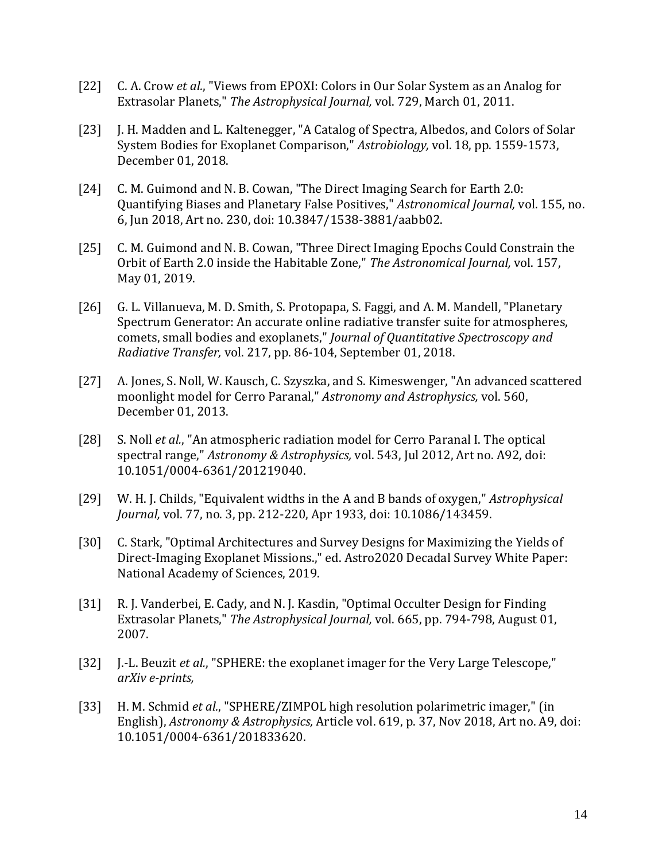- [22] C. A. Crow *et al.*, "Views from EPOXI: Colors in Our Solar System as an Analog for Extrasolar Planets," *The Astrophysical Journal,* vol. 729, March 01, 2011.
- [23] J. H. Madden and L. Kaltenegger, "A Catalog of Spectra, Albedos, and Colors of Solar System Bodies for Exoplanet Comparison," *Astrobiology,* vol. 18, pp. 1559-1573, December 01, 2018.
- [24] C. M. Guimond and N. B. Cowan, "The Direct Imaging Search for Earth 2.0: Quantifying Biases and Planetary False Positives," *Astronomical Journal,* vol. 155, no. 6, Jun 2018, Art no. 230, doi: 10.3847/1538-3881/aabb02.
- [25] C. M. Guimond and N. B. Cowan, "Three Direct Imaging Epochs Could Constrain the Orbit of Earth 2.0 inside the Habitable Zone," *The Astronomical Journal,* vol. 157, May 01, 2019.
- [26] G. L. Villanueva, M. D. Smith, S. Protopapa, S. Faggi, and A. M. Mandell, "Planetary Spectrum Generator: An accurate online radiative transfer suite for atmospheres, comets, small bodies and exoplanets," *Journal of Quantitative Spectroscopy and Radiative Transfer,* vol. 217, pp. 86-104, September 01, 2018.
- [27] A. Jones, S. Noll, W. Kausch, C. Szyszka, and S. Kimeswenger, "An advanced scattered moonlight model for Cerro Paranal," *Astronomy and Astrophysics,* vol. 560, December 01, 2013.
- [28] S. Noll *et al.*, "An atmospheric radiation model for Cerro Paranal I. The optical spectral range," *Astronomy & Astrophysics,* vol. 543, Jul 2012, Art no. A92, doi: 10.1051/0004-6361/201219040.
- [29] W. H. J. Childs, "Equivalent widths in the A and B bands of oxygen," *Astrophysical Journal,* vol. 77, no. 3, pp. 212-220, Apr 1933, doi: 10.1086/143459.
- [30] C. Stark, "Optimal Architectures and Survey Designs for Maximizing the Yields of Direct-Imaging Exoplanet Missions.," ed. Astro2020 Decadal Survey White Paper: National Academy of Sciences, 2019.
- [31] R. J. Vanderbei, E. Cady, and N. J. Kasdin, "Optimal Occulter Design for Finding Extrasolar Planets," *The Astrophysical Journal,* vol. 665, pp. 794-798, August 01, 2007.
- [32] J.-L. Beuzit *et al.*, "SPHERE: the exoplanet imager for the Very Large Telescope," *arXiv e-prints,*
- [33] H. M. Schmid *et al.*, "SPHERE/ZIMPOL high resolution polarimetric imager," (in English), *Astronomy & Astrophysics,* Article vol. 619, p. 37, Nov 2018, Art no. A9, doi: 10.1051/0004-6361/201833620.